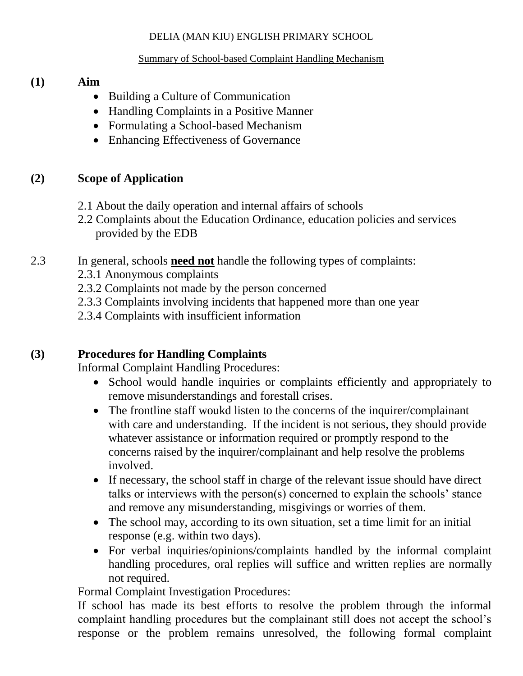#### DELIA (MAN KIU) ENGLISH PRIMARY SCHOOL

#### Summary of School-based Complaint Handling Mechanism

#### **(1) Aim**

- Building a Culture of Communication
- Handling Complaints in a Positive Manner
- Formulating a School-based Mechanism
- Enhancing Effectiveness of Governance

### **(2) Scope of Application**

- 2.1 About the daily operation and internal affairs of schools
- 2.2 Complaints about the Education Ordinance, education policies and services provided by the EDB
- 2.3 In general, schools **need not** handle the following types of complaints:
	- 2.3.1 Anonymous complaints
	- 2.3.2 Complaints not made by the person concerned
	- 2.3.3 Complaints involving incidents that happened more than one year
	- 2.3.4 Complaints with insufficient information

## **(3) Procedures for Handling Complaints**

Informal Complaint Handling Procedures:

- School would handle inquiries or complaints efficiently and appropriately to remove misunderstandings and forestall crises.
- The frontline staff woukd listen to the concerns of the inquirer/complainant with care and understanding. If the incident is not serious, they should provide whatever assistance or information required or promptly respond to the concerns raised by the inquirer/complainant and help resolve the problems involved.
- If necessary, the school staff in charge of the relevant issue should have direct talks or interviews with the person(s) concerned to explain the schools' stance and remove any misunderstanding, misgivings or worries of them.
- The school may, according to its own situation, set a time limit for an initial response (e.g. within two days).
- For verbal inquiries/opinions/complaints handled by the informal complaint handling procedures, oral replies will suffice and written replies are normally not required.

Formal Complaint Investigation Procedures:

If school has made its best efforts to resolve the problem through the informal complaint handling procedures but the complainant still does not accept the school's response or the problem remains unresolved, the following formal complaint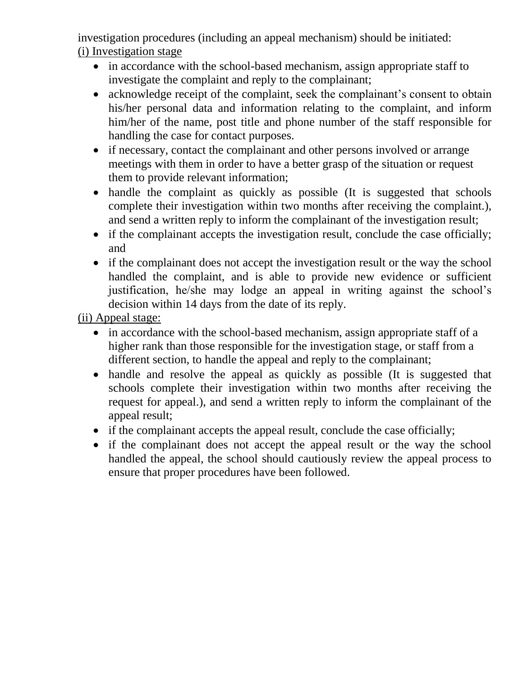investigation procedures (including an appeal mechanism) should be initiated: (i) Investigation stage

- in accordance with the school-based mechanism, assign appropriate staff to investigate the complaint and reply to the complainant;
- acknowledge receipt of the complaint, seek the complainant's consent to obtain his/her personal data and information relating to the complaint, and inform him/her of the name, post title and phone number of the staff responsible for handling the case for contact purposes.
- if necessary, contact the complainant and other persons involved or arrange meetings with them in order to have a better grasp of the situation or request them to provide relevant information;
- handle the complaint as quickly as possible (It is suggested that schools complete their investigation within two months after receiving the complaint.), and send a written reply to inform the complainant of the investigation result;
- if the complainant accepts the investigation result, conclude the case officially; and
- if the complainant does not accept the investigation result or the way the school handled the complaint, and is able to provide new evidence or sufficient justification, he/she may lodge an appeal in writing against the school's decision within 14 days from the date of its reply.

(ii) Appeal stage:

- in accordance with the school-based mechanism, assign appropriate staff of a higher rank than those responsible for the investigation stage, or staff from a different section, to handle the appeal and reply to the complainant;
- handle and resolve the appeal as quickly as possible (It is suggested that schools complete their investigation within two months after receiving the request for appeal.), and send a written reply to inform the complainant of the appeal result;
- if the complainant accepts the appeal result, conclude the case officially;
- if the complainant does not accept the appeal result or the way the school handled the appeal, the school should cautiously review the appeal process to ensure that proper procedures have been followed.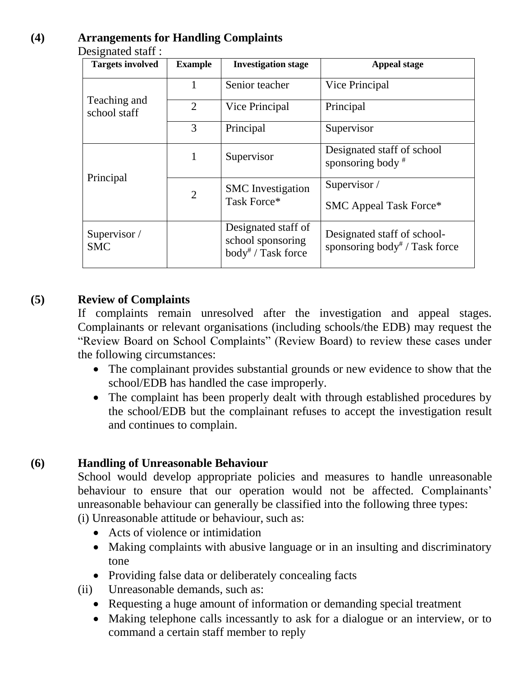### **(4) Arrangements for Handling Complaints**

Designated staff :

| <b>Targets involved</b>      | <b>Example</b> | <b>Investigation stage</b>                                           | <b>Appeal stage</b>                                                      |
|------------------------------|----------------|----------------------------------------------------------------------|--------------------------------------------------------------------------|
| Teaching and<br>school staff | 1              | Senior teacher                                                       | Vice Principal                                                           |
|                              | $\overline{2}$ | Vice Principal                                                       | Principal                                                                |
|                              | 3              | Principal                                                            | Supervisor                                                               |
| Principal                    | 1              | Supervisor                                                           | Designated staff of school<br>sponsoring body $*$                        |
|                              | $\overline{2}$ | <b>SMC</b> Investigation<br>Task Force*                              | Supervisor /<br><b>SMC Appeal Task Force*</b>                            |
| Supervisor /<br><b>SMC</b>   |                | Designated staff of<br>school sponsoring<br>$body^{\#}$ / Task force | Designated staff of school-<br>sponsoring body <sup>#</sup> / Task force |

# **(5) Review of Complaints**

If complaints remain unresolved after the investigation and appeal stages. Complainants or relevant organisations (including schools/the EDB) may request the "Review Board on School Complaints" (Review Board) to review these cases under the following circumstances:

- The complainant provides substantial grounds or new evidence to show that the school/EDB has handled the case improperly.
- The complaint has been properly dealt with through established procedures by the school/EDB but the complainant refuses to accept the investigation result and continues to complain.

## **(6) Handling of Unreasonable Behaviour**

School would develop appropriate policies and measures to handle unreasonable behaviour to ensure that our operation would not be affected. Complainants' unreasonable behaviour can generally be classified into the following three types: (i) Unreasonable attitude or behaviour, such as:

- Acts of violence or intimidation
- Making complaints with abusive language or in an insulting and discriminatory tone
- Providing false data or deliberately concealing facts
- (ii) Unreasonable demands, such as:
	- Requesting a huge amount of information or demanding special treatment
	- Making telephone calls incessantly to ask for a dialogue or an interview, or to command a certain staff member to reply